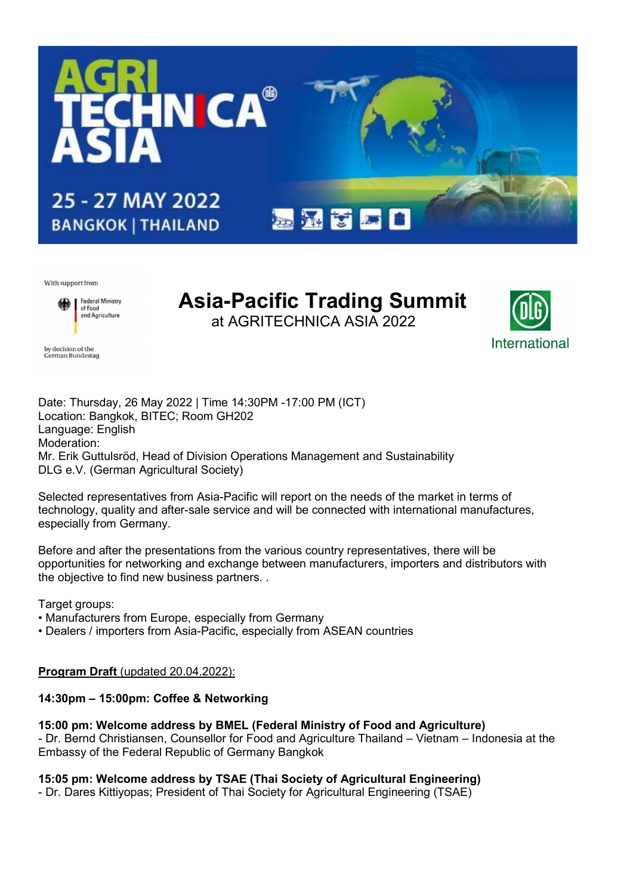

With support from

by decision of the<br>German Bundestag



# Asia-Pacific Trading Summit at AGRITECHNICA ASIA 2022



Date: Thursday, 26 May 2022 | Time 14:30PM -17:00 PM (ICT) Location: Bangkok, BITEC; Room GH202 Language: English Moderation: Mr. Erik Guttulsröd, Head of Division Operations Management and Sustainability DLG e.V. (German Agricultural Society)

Selected representatives from Asia-Pacific will report on the needs of the market in terms of technology, quality and after-sale service and will be connected with international manufactures, especially from Germany.

Before and after the presentations from the various country representatives, there will be opportunities for networking and exchange between manufacturers, importers and distributors with the objective to find new business partners. .

Target groups:

- Manufacturers from Europe, especially from Germany
- Dealers / importers from Asia-Pacific, especially from ASEAN countries

# Program Draft (updated 20.04.2022):

# 14:30pm – 15:00pm: Coffee & Networking

# 15:00 pm: Welcome address by BMEL (Federal Ministry of Food and Agriculture)

- Dr. Bernd Christiansen, Counsellor for Food and Agriculture Thailand – Vietnam – Indonesia at the Embassy of the Federal Republic of Germany Bangkok

# 15:05 pm: Welcome address by TSAE (Thai Society of Agricultural Engineering)

- Dr. Dares Kittiyopas; President of Thai Society for Agricultural Engineering (TSAE)